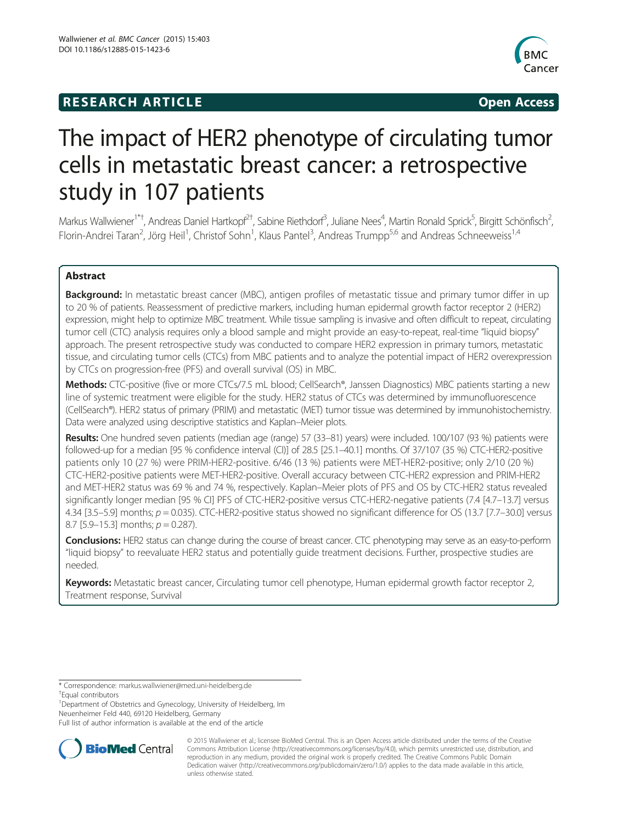## **RESEARCH ARTICLE Example 2014 CONSIDERING CONSIDERING CONSIDERING CONSIDERING CONSIDERING CONSIDERING CONSIDERING CONSIDERING CONSIDERING CONSIDERING CONSIDERING CONSIDERING CONSIDERING CONSIDERING CONSIDERING CONSIDE**



# The impact of HER2 phenotype of circulating tumor cells in metastatic breast cancer: a retrospective study in 107 patients

Markus Wallwiener<sup>1\*†</sup>, Andreas Daniel Hartkopf<sup>2†</sup>, Sabine Riethdorf<sup>3</sup>, Juliane Nees<sup>4</sup>, Martin Ronald Sprick<sup>5</sup>, Birgitt Schönfisch<sup>2</sup> .<br>י Florin-Andrei Taran<sup>2</sup>, Jörg Heil<sup>1</sup>, Christof Sohn<sup>1</sup>, Klaus Pantel<sup>3</sup>, Andreas Trumpp<sup>5,6</sup> and Andreas Schneeweiss<sup>1,4</sup>

## Abstract

Background: In metastatic breast cancer (MBC), antigen profiles of metastatic tissue and primary tumor differ in up to 20 % of patients. Reassessment of predictive markers, including human epidermal growth factor receptor 2 (HER2) expression, might help to optimize MBC treatment. While tissue sampling is invasive and often difficult to repeat, circulating tumor cell (CTC) analysis requires only a blood sample and might provide an easy-to-repeat, real-time "liquid biopsy" approach. The present retrospective study was conducted to compare HER2 expression in primary tumors, metastatic tissue, and circulating tumor cells (CTCs) from MBC patients and to analyze the potential impact of HER2 overexpression by CTCs on progression-free (PFS) and overall survival (OS) in MBC.

Methods: CTC-positive (five or more CTCs/7.5 mL blood; CellSearch®, Janssen Diagnostics) MBC patients starting a new line of systemic treatment were eligible for the study. HER2 status of CTCs was determined by immunofluorescence (CellSearch®). HER2 status of primary (PRIM) and metastatic (MET) tumor tissue was determined by immunohistochemistry. Data were analyzed using descriptive statistics and Kaplan–Meier plots.

Results: One hundred seven patients (median age (range) 57 (33-81) years) were included. 100/107 (93 %) patients were followed-up for a median [95 % confidence interval (CI)] of 28.5 [25.1–40.1] months. Of 37/107 (35 %) CTC-HER2-positive patients only 10 (27 %) were PRIM-HER2-positive. 6/46 (13 %) patients were MET-HER2-positive; only 2/10 (20 %) CTC-HER2-positive patients were MET-HER2-positive. Overall accuracy between CTC-HER2 expression and PRIM-HER2 and MET-HER2 status was 69 % and 74 %, respectively. Kaplan–Meier plots of PFS and OS by CTC-HER2 status revealed significantly longer median [95 % CI] PFS of CTC-HER2-positive versus CTC-HER2-negative patients (7.4 [4.7–13.7] versus 4.34 [3.5–5.9] months; p = 0.035). CTC-HER2-positive status showed no significant difference for OS (13.7 [7.7–30.0] versus 8.7 [5.9–15.3] months;  $p = 0.287$ ).

Conclusions: HER2 status can change during the course of breast cancer. CTC phenotyping may serve as an easy-to-perform "liquid biopsy" to reevaluate HER2 status and potentially guide treatment decisions. Further, prospective studies are needed.

Keywords: Metastatic breast cancer, Circulating tumor cell phenotype, Human epidermal growth factor receptor 2, Treatment response, Survival

\* Correspondence: [markus.wallwiener@med.uni-heidelberg.de](mailto:markus.wallwiener@med.uni-heidelberg.de) †

Equal contributors

<sup>1</sup>Department of Obstetrics and Gynecology, University of Heidelberg, Im Neuenheimer Feld 440, 69120 Heidelberg, Germany

Full list of author information is available at the end of the article



© 2015 Wallwiener et al.; licensee BioMed Central. This is an Open Access article distributed under the terms of the Creative Commons Attribution License [\(http://creativecommons.org/licenses/by/4.0\)](http://creativecommons.org/licenses/by/4.0), which permits unrestricted use, distribution, and reproduction in any medium, provided the original work is properly credited. The Creative Commons Public Domain Dedication waiver [\(http://creativecommons.org/publicdomain/zero/1.0/](http://creativecommons.org/publicdomain/zero/1.0/)) applies to the data made available in this article, unless otherwise stated.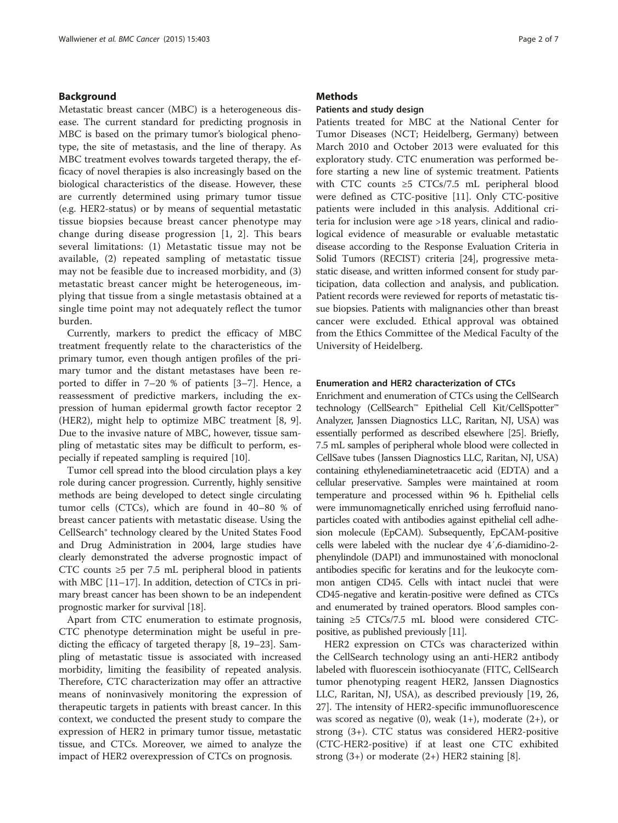## Background

Metastatic breast cancer (MBC) is a heterogeneous disease. The current standard for predicting prognosis in MBC is based on the primary tumor's biological phenotype, the site of metastasis, and the line of therapy. As MBC treatment evolves towards targeted therapy, the efficacy of novel therapies is also increasingly based on the biological characteristics of the disease. However, these are currently determined using primary tumor tissue (e.g. HER2-status) or by means of sequential metastatic tissue biopsies because breast cancer phenotype may change during disease progression [[1, 2](#page-5-0)]. This bears several limitations: (1) Metastatic tissue may not be available, (2) repeated sampling of metastatic tissue may not be feasible due to increased morbidity, and (3) metastatic breast cancer might be heterogeneous, implying that tissue from a single metastasis obtained at a single time point may not adequately reflect the tumor burden.

Currently, markers to predict the efficacy of MBC treatment frequently relate to the characteristics of the primary tumor, even though antigen profiles of the primary tumor and the distant metastases have been reported to differ in 7–20 % of patients [[3](#page-5-0)–[7\]](#page-5-0). Hence, a reassessment of predictive markers, including the expression of human epidermal growth factor receptor 2 (HER2), might help to optimize MBC treatment [[8, 9](#page-5-0)]. Due to the invasive nature of MBC, however, tissue sampling of metastatic sites may be difficult to perform, especially if repeated sampling is required [[10\]](#page-5-0).

Tumor cell spread into the blood circulation plays a key role during cancer progression. Currently, highly sensitive methods are being developed to detect single circulating tumor cells (CTCs), which are found in 40–80 % of breast cancer patients with metastatic disease. Using the CellSearch® technology cleared by the United States Food and Drug Administration in 2004, large studies have clearly demonstrated the adverse prognostic impact of CTC counts  $\geq$ 5 per 7.5 mL peripheral blood in patients with MBC [[11](#page-5-0)–[17\]](#page-6-0). In addition, detection of CTCs in primary breast cancer has been shown to be an independent prognostic marker for survival [[18](#page-6-0)].

Apart from CTC enumeration to estimate prognosis, CTC phenotype determination might be useful in predicting the efficacy of targeted therapy [\[8](#page-5-0), [19](#page-6-0)–[23](#page-6-0)]. Sampling of metastatic tissue is associated with increased morbidity, limiting the feasibility of repeated analysis. Therefore, CTC characterization may offer an attractive means of noninvasively monitoring the expression of therapeutic targets in patients with breast cancer. In this context, we conducted the present study to compare the expression of HER2 in primary tumor tissue, metastatic tissue, and CTCs. Moreover, we aimed to analyze the impact of HER2 overexpression of CTCs on prognosis.

## **Methods**

## Patients and study design

Patients treated for MBC at the National Center for Tumor Diseases (NCT; Heidelberg, Germany) between March 2010 and October 2013 were evaluated for this exploratory study. CTC enumeration was performed before starting a new line of systemic treatment. Patients with CTC counts ≥5 CTCs/7.5 mL peripheral blood were defined as CTC-positive [\[11](#page-5-0)]. Only CTC-positive patients were included in this analysis. Additional criteria for inclusion were age >18 years, clinical and radiological evidence of measurable or evaluable metastatic disease according to the Response Evaluation Criteria in Solid Tumors (RECIST) criteria [\[24\]](#page-6-0), progressive metastatic disease, and written informed consent for study participation, data collection and analysis, and publication. Patient records were reviewed for reports of metastatic tissue biopsies. Patients with malignancies other than breast cancer were excluded. Ethical approval was obtained from the Ethics Committee of the Medical Faculty of the University of Heidelberg.

## Enumeration and HER2 characterization of CTCs

Enrichment and enumeration of CTCs using the CellSearch technology (CellSearch™ Epithelial Cell Kit/CellSpotter™ Analyzer, Janssen Diagnostics LLC, Raritan, NJ, USA) was essentially performed as described elsewhere [[25](#page-6-0)]. Briefly, 7.5 mL samples of peripheral whole blood were collected in CellSave tubes (Janssen Diagnostics LLC, Raritan, NJ, USA) containing ethylenediaminetetraacetic acid (EDTA) and a cellular preservative. Samples were maintained at room temperature and processed within 96 h. Epithelial cells were immunomagnetically enriched using ferrofluid nanoparticles coated with antibodies against epithelial cell adhesion molecule (EpCAM). Subsequently, EpCAM-positive cells were labeled with the nuclear dye 4′,6-diamidino-2 phenylindole (DAPI) and immunostained with monoclonal antibodies specific for keratins and for the leukocyte common antigen CD45. Cells with intact nuclei that were CD45-negative and keratin-positive were defined as CTCs and enumerated by trained operators. Blood samples containing ≥5 CTCs/7.5 mL blood were considered CTCpositive, as published previously [\[11\]](#page-5-0).

HER2 expression on CTCs was characterized within the CellSearch technology using an anti-HER2 antibody labeled with fluorescein isothiocyanate (FITC, CellSearch tumor phenotyping reagent HER2, Janssen Diagnostics LLC, Raritan, NJ, USA), as described previously [\[19, 26](#page-6-0), [27\]](#page-6-0). The intensity of HER2-specific immunofluorescence was scored as negative  $(0)$ , weak  $(1+)$ , moderate  $(2+)$ , or strong (3+). CTC status was considered HER2-positive (CTC-HER2-positive) if at least one CTC exhibited strong (3+) or moderate (2+) HER2 staining [[8\]](#page-5-0).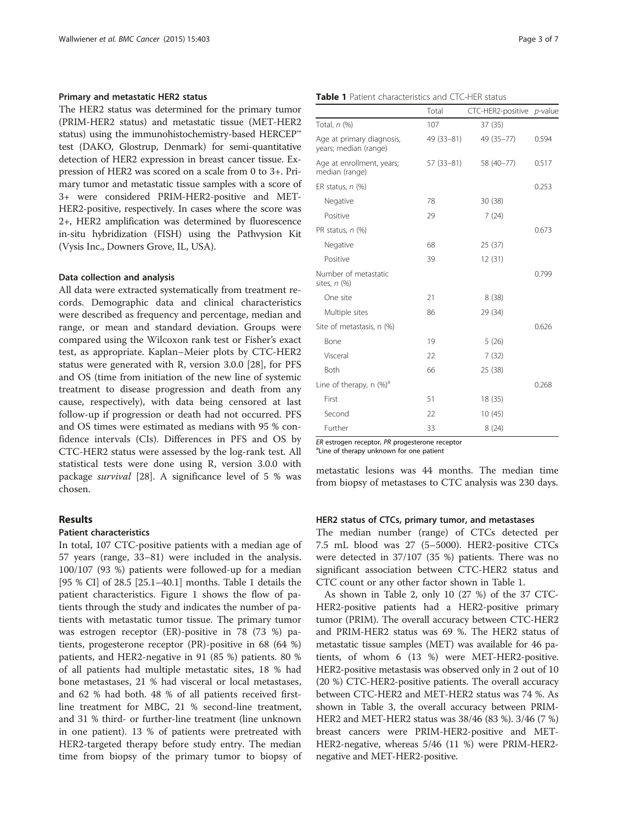#### Primary and metastatic HER2 status

The HER2 status was determined for the primary tumor (PRIM-HER2 status) and metastatic tissue (MET-HER2 status) using the immunohistochemistry-based HERCEP™ test (DAKO, Glostrup, Denmark) for semi-quantitative detection of HER2 expression in breast cancer tissue. Expression of HER2 was scored on a scale from 0 to 3+. Primary tumor and metastatic tissue samples with a score of 3+ were considered PRIM-HER2-positive and MET-HER2-positive, respectively. In cases where the score was 2+, HER2 amplification was determined by fluorescence in-situ hybridization (FISH) using the Pathvysion Kit (Vysis Inc., Downers Grove, IL, USA).

## Data collection and analysis

All data were extracted systematically from treatment records. Demographic data and clinical characteristics were described as frequency and percentage, median and range, or mean and standard deviation. Groups were compared using the Wilcoxon rank test or Fisher's exact test, as appropriate. Kaplan–Meier plots by CTC-HER2 status were generated with R, version 3.0.0 [\[28](#page-6-0)], for PFS and OS (time from initiation of the new line of systemic treatment to disease progression and death from any cause, respectively), with data being censored at last follow-up if progression or death had not occurred. PFS and OS times were estimated as medians with 95 % confidence intervals (CIs). Differences in PFS and OS by CTC-HER2 status were assessed by the log-rank test. All statistical tests were done using R, version 3.0.0 with package survival [\[28](#page-6-0)]. A significance level of 5 % was chosen.

## Results

## Patient characteristics

In total, 107 CTC-positive patients with a median age of 57 years (range, 33–81) were included in the analysis. 100/107 (93 %) patients were followed-up for a median [95 % CI] of 28.5 [25.1–40.1] months. Table 1 details the patient characteristics. Figure [1](#page-3-0) shows the flow of patients through the study and indicates the number of patients with metastatic tumor tissue. The primary tumor was estrogen receptor (ER)-positive in 78 (73 %) patients, progesterone receptor (PR)-positive in 68 (64 %) patients, and HER2-negative in 91 (85 %) patients. 80 % of all patients had multiple metastatic sites, 18 % had bone metastases, 21 % had visceral or local metastases, and 62 % had both. 48 % of all patients received firstline treatment for MBC, 21 % second-line treatment, and 31 % third- or further-line treatment (line unknown in one patient). 13 % of patients were pretreated with HER2-targeted therapy before study entry. The median time from biopsy of the primary tumor to biopsy of

|                                                    | Total       | CTC-HER2-positive p-value |       |
|----------------------------------------------------|-------------|---------------------------|-------|
| Total, $n$ $(\%)$                                  | 107         | 37 (35)                   |       |
| Age at primary diagnosis,<br>years; median (range) | 49 (33-81)  | 49 (35-77)                | 0.594 |
| Age at enrollment, years;<br>median (range)        | $57(33-81)$ | 58 (40-77)                | 0.517 |
| ER status, $n$ (%)                                 |             |                           | 0.253 |
| Negative                                           | 78          | 30(38)                    |       |
| Positive                                           | 29          | 7(24)                     |       |
| PR status, n (%)                                   |             |                           | 0.673 |
| Negative                                           | 68          | 25 (37)                   |       |
| Positive                                           | 39          | 12(31)                    |       |
| Number of metastatic<br>sites, $n$ $(\%)$          |             |                           | 0.799 |
| One site                                           | 21          | 8(38)                     |       |
| Multiple sites                                     | 86          | 29 (34)                   |       |
| Site of metastasis, n (%)                          |             |                           | 0.626 |
| Bone                                               | 19          | 5(26)                     |       |
| Visceral                                           | 22          | 7(32)                     |       |
| Both                                               | 66          | 25 (38)                   |       |
| Line of therapy, n $(\%)^a$                        |             |                           | 0.268 |
| First                                              | 51          | 18 (35)                   |       |
| Second                                             | 22          | 10(45)                    |       |
| Further                                            | 33          | 8(24)                     |       |

 $ER$  estrogen receptor,  $PR$  progesterone receptor

<sup>a</sup> Line of therapy unknown for one patient

metastatic lesions was 44 months. The median time from biopsy of metastases to CTC analysis was 230 days.

#### HER2 status of CTCs, primary tumor, and metastases

The median number (range) of CTCs detected per 7.5 mL blood was 27 (5–5000). HER2-positive CTCs were detected in 37/107 (35 %) patients. There was no significant association between CTC-HER2 status and CTC count or any other factor shown in Table 1.

As shown in Table [2](#page-3-0), only 10 (27 %) of the 37 CTC-HER2-positive patients had a HER2-positive primary tumor (PRIM). The overall accuracy between CTC-HER2 and PRIM-HER2 status was 69 %. The HER2 status of metastatic tissue samples (MET) was available for 46 patients, of whom 6 (13 %) were MET-HER2-positive. HER2-positive metastasis was observed only in 2 out of 10 (20 %) CTC-HER2-positive patients. The overall accuracy between CTC-HER2 and MET-HER2 status was 74 %. As shown in Table [3](#page-3-0), the overall accuracy between PRIM-HER2 and MET-HER2 status was 38/46 (83 %). 3/46 (7 %) breast cancers were PRIM-HER2-positive and MET-HER2-negative, whereas 5/46 (11 %) were PRIM-HER2 negative and MET-HER2-positive.

## Table 1 Patient characteristics and CTC-HER status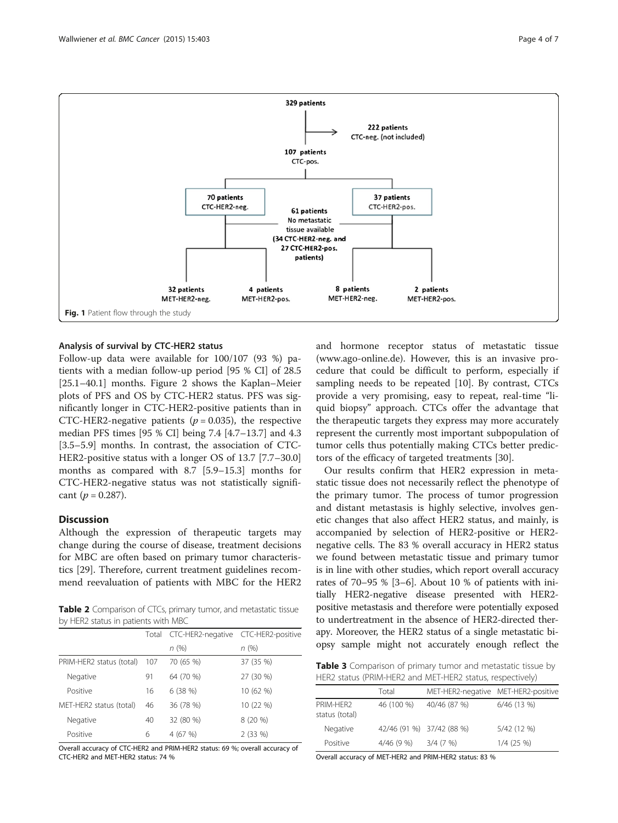<span id="page-3-0"></span>

## Analysis of survival by CTC-HER2 status

Follow-up data were available for 100/107 (93 %) patients with a median follow-up period [95 % CI] of 28.5 [25.1–40.1] months. Figure [2](#page-4-0) shows the Kaplan–Meier plots of PFS and OS by CTC-HER2 status. PFS was significantly longer in CTC-HER2-positive patients than in CTC-HER2-negative patients ( $p = 0.035$ ), the respective median PFS times [95 % CI] being 7.4 [4.7–13.7] and 4.3 [3.5–5.9] months. In contrast, the association of CTC-HER2-positive status with a longer OS of 13.7 [7.7–30.0] months as compared with 8.7 [5.9–15.3] months for CTC-HER2-negative status was not statistically significant ( $p = 0.287$ ).

## **Discussion**

Although the expression of therapeutic targets may change during the course of disease, treatment decisions for MBC are often based on primary tumor characteristics [[29\]](#page-6-0). Therefore, current treatment guidelines recommend reevaluation of patients with MBC for the HER2

Table 2 Comparison of CTCs, primary tumor, and metastatic tissue by HER2 status in patients with MBC

|                          |     | Total CTC-HER2-negative CTC-HER2-positive |           |
|--------------------------|-----|-------------------------------------------|-----------|
|                          |     | n(%)                                      | n(%)      |
| PRIM-HER2 status (total) | 107 | 70 (65 %)                                 | 37 (35 %) |
| Negative                 | 91  | 64 (70 %)                                 | 27 (30 %) |
| Positive                 | 16  | 6(38%)                                    | 10 (62 %) |
| MET-HER2 status (total)  | 46  | 36 (78 %)                                 | 10 (22 %) |
| Negative                 | 40  | 32 (80 %)                                 | 8 (20 %)  |
| Positive                 | 6   | 4 (67 %)                                  | 2 (33 %)  |
|                          |     |                                           |           |

Overall accuracy of CTC-HER2 and PRIM-HER2 status: 69 %; overall accuracy of CTC-HER2 and MET-HER2 status: 74 %

and hormone receptor status of metastatic tissue ([www.ago-online.de\)](http://www.ago-online.de/). However, this is an invasive procedure that could be difficult to perform, especially if sampling needs to be repeated [[10](#page-5-0)]. By contrast, CTCs provide a very promising, easy to repeat, real-time "liquid biopsy" approach. CTCs offer the advantage that the therapeutic targets they express may more accurately represent the currently most important subpopulation of tumor cells thus potentially making CTCs better predictors of the efficacy of targeted treatments [\[30](#page-6-0)].

Our results confirm that HER2 expression in metastatic tissue does not necessarily reflect the phenotype of the primary tumor. The process of tumor progression and distant metastasis is highly selective, involves genetic changes that also affect HER2 status, and mainly, is accompanied by selection of HER2-positive or HER2 negative cells. The 83 % overall accuracy in HER2 status we found between metastatic tissue and primary tumor is in line with other studies, which report overall accuracy rates of 70–95 % [[3](#page-5-0)–[6](#page-5-0)]. About 10 % of patients with initially HER2-negative disease presented with HER2 positive metastasis and therefore were potentially exposed to undertreatment in the absence of HER2-directed therapy. Moreover, the HER2 status of a single metastatic biopsy sample might not accurately enough reflect the

Table 3 Comparison of primary tumor and metastatic tissue by HER2 status (PRIM-HER2 and MET-HER2 status, respectively)

|                             | Total      | MET-HER2-negative MET-HER2-positive |               |
|-----------------------------|------------|-------------------------------------|---------------|
| PRIM-HFR2<br>status (total) | 46 (100 %) | 40/46 (87 %)                        | $6/46$ (13 %) |
| Negative                    |            | 42/46 (91 %) 37/42 (88 %)           | 5/42 (12 %)   |
| Positive                    | 4/46(9%)   | $3/4$ (7 %)                         | $1/4$ (25 %)  |

Overall accuracy of MET-HER2 and PRIM-HER2 status: 83 %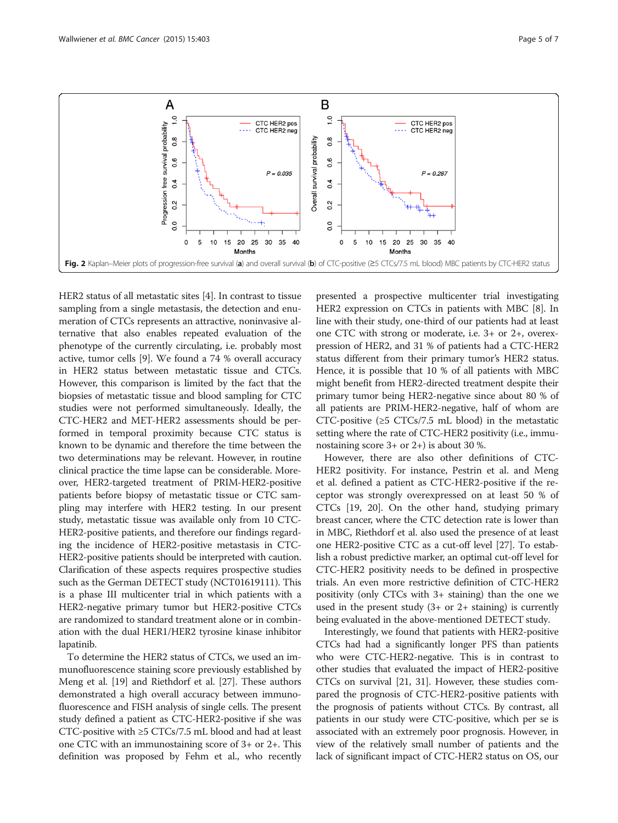<span id="page-4-0"></span>

HER2 status of all metastatic sites [\[4\]](#page-5-0). In contrast to tissue sampling from a single metastasis, the detection and enumeration of CTCs represents an attractive, noninvasive alternative that also enables repeated evaluation of the phenotype of the currently circulating, i.e. probably most active, tumor cells [\[9](#page-5-0)]. We found a 74 % overall accuracy in HER2 status between metastatic tissue and CTCs. However, this comparison is limited by the fact that the biopsies of metastatic tissue and blood sampling for CTC studies were not performed simultaneously. Ideally, the CTC-HER2 and MET-HER2 assessments should be performed in temporal proximity because CTC status is known to be dynamic and therefore the time between the two determinations may be relevant. However, in routine clinical practice the time lapse can be considerable. Moreover, HER2-targeted treatment of PRIM-HER2-positive patients before biopsy of metastatic tissue or CTC sampling may interfere with HER2 testing. In our present study, metastatic tissue was available only from 10 CTC-HER2-positive patients, and therefore our findings regarding the incidence of HER2-positive metastasis in CTC-HER2-positive patients should be interpreted with caution. Clarification of these aspects requires prospective studies such as the German DETECT study (NCT01619111). This is a phase III multicenter trial in which patients with a HER2-negative primary tumor but HER2-positive CTCs are randomized to standard treatment alone or in combination with the dual HER1/HER2 tyrosine kinase inhibitor lapatinib.

To determine the HER2 status of CTCs, we used an immunofluorescence staining score previously established by Meng et al. [[19](#page-6-0)] and Riethdorf et al. [\[27\]](#page-6-0). These authors demonstrated a high overall accuracy between immunofluorescence and FISH analysis of single cells. The present study defined a patient as CTC-HER2-positive if she was CTC-positive with  $\geq$ 5 CTCs/7.5 mL blood and had at least one CTC with an immunostaining score of 3+ or 2+. This definition was proposed by Fehm et al., who recently

presented a prospective multicenter trial investigating HER2 expression on CTCs in patients with MBC [\[8](#page-5-0)]. In line with their study, one-third of our patients had at least one CTC with strong or moderate, i.e. 3+ or 2+, overexpression of HER2, and 31 % of patients had a CTC-HER2 status different from their primary tumor's HER2 status. Hence, it is possible that 10 % of all patients with MBC might benefit from HER2-directed treatment despite their primary tumor being HER2-negative since about 80 % of all patients are PRIM-HER2-negative, half of whom are CTC-positive  $(≥5$  CTCs/7.5 mL blood) in the metastatic setting where the rate of CTC-HER2 positivity (i.e., immunostaining score 3+ or 2+) is about 30 %.

However, there are also other definitions of CTC-HER2 positivity. For instance, Pestrin et al. and Meng et al. defined a patient as CTC-HER2-positive if the receptor was strongly overexpressed on at least 50 % of CTCs [[19, 20](#page-6-0)]. On the other hand, studying primary breast cancer, where the CTC detection rate is lower than in MBC, Riethdorf et al. also used the presence of at least one HER2-positive CTC as a cut-off level [\[27\]](#page-6-0). To establish a robust predictive marker, an optimal cut-off level for CTC-HER2 positivity needs to be defined in prospective trials. An even more restrictive definition of CTC-HER2 positivity (only CTCs with 3+ staining) than the one we used in the present study  $(3+$  or  $2+$  staining) is currently being evaluated in the above-mentioned DETECT study.

Interestingly, we found that patients with HER2-positive CTCs had had a significantly longer PFS than patients who were CTC-HER2-negative. This is in contrast to other studies that evaluated the impact of HER2-positive CTCs on survival [[21](#page-6-0), [31](#page-6-0)]. However, these studies compared the prognosis of CTC-HER2-positive patients with the prognosis of patients without CTCs. By contrast, all patients in our study were CTC-positive, which per se is associated with an extremely poor prognosis. However, in view of the relatively small number of patients and the lack of significant impact of CTC-HER2 status on OS, our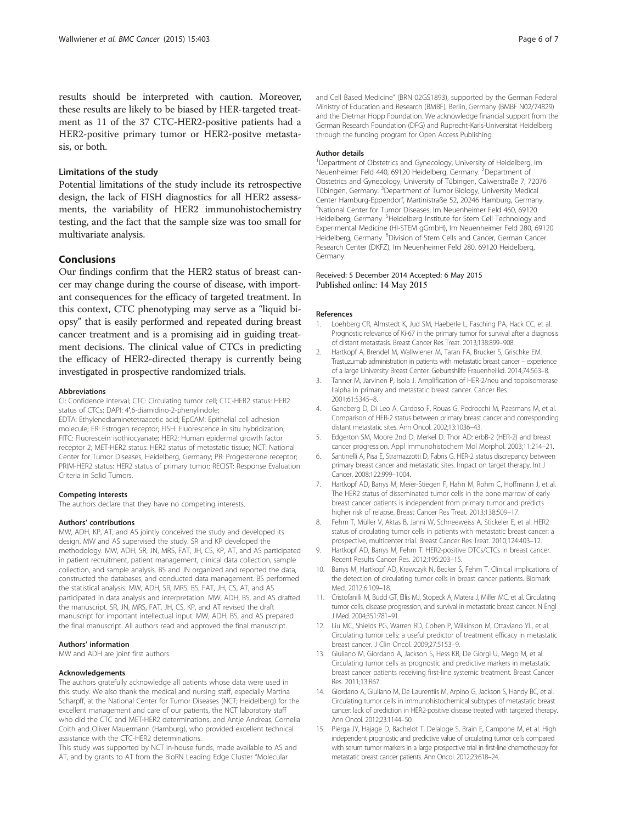<span id="page-5-0"></span>results should be interpreted with caution. Moreover, these results are likely to be biased by HER-targeted treatment as 11 of the 37 CTC-HER2-positive patients had a HER2-positive primary tumor or HER2-positve metastasis, or both.

## Limitations of the study

Potential limitations of the study include its retrospective design, the lack of FISH diagnostics for all HER2 assessments, the variability of HER2 immunohistochemistry testing, and the fact that the sample size was too small for multivariate analysis.

## Conclusions

Our findings confirm that the HER2 status of breast cancer may change during the course of disease, with important consequences for the efficacy of targeted treatment. In this context, CTC phenotyping may serve as a "liquid biopsy" that is easily performed and repeated during breast cancer treatment and is a promising aid in guiding treatment decisions. The clinical value of CTCs in predicting the efficacy of HER2-directed therapy is currently being investigated in prospective randomized trials.

#### Abbreviations

CI: Confidence interval; CTC: Circulating tumor cell; CTC-HER2 status: HER2 status of CTCs; DAPI: 4′,6-diamidino-2-phenylindole;

EDTA: Ethylenediaminetetraacetic acid; EpCAM: Epithelial cell adhesion molecule; ER: Estrogen receptor; FISH: Fluorescence in situ hybridization; FITC: Fluorescein isothiocyanate; HER2: Human epidermal growth factor receptor 2; MET-HER2 status: HER2 status of metastatic tissue; NCT: National Center for Tumor Diseases, Heidelberg, Germany; PR: Progesterone receptor; PRIM-HER2 status: HER2 status of primary tumor; RECIST: Response Evaluation Criteria in Solid Tumors.

#### Competing interests

The authors declare that they have no competing interests.

#### Authors' contributions

MW, ADH, KP, AT, and AS jointly conceived the study and developed its design. MW and AS supervised the study. SR and KP developed the methodology. MW, ADH, SR, JN, MRS, FAT, JH, CS, KP, AT, and AS participated in patient recruitment, patient management, clinical data collection, sample collection, and sample analysis. BS and JN organized and reported the data, constructed the databases, and conducted data management. BS performed the statistical analysis. MW, ADH, SR, MRS, BS, FAT, JH, CS, AT, and AS participated in data analysis and interpretation. MW, ADH, BS, and AS drafted the manuscript. SR, JN, MRS, FAT, JH, CS, KP, and AT revised the draft manuscript for important intellectual input. MW, ADH, BS, and AS prepared the final manuscript. All authors read and approved the final manuscript.

#### Authors' information

MW and ADH are joint first authors.

#### Acknowledgements

The authors gratefully acknowledge all patients whose data were used in this study. We also thank the medical and nursing staff, especially Martina Scharpff, at the National Center for Tumor Diseases (NCT; Heidelberg) for the excellent management and care of our patients, the NCT laboratory staff who did the CTC and MET-HER2 determinations, and Antje Andreas, Cornelia Coith and Oliver Mauermann (Hamburg), who provided excellent technical assistance with the CTC-HER2 determinations.

This study was supported by NCT in-house funds, made available to AS and AT, and by grants to AT from the BioRN Leading Edge Cluster "Molecular

and Cell Based Medicine" (BRN 02GS1893), supported by the German Federal Ministry of Education and Research (BMBF), Berlin, Germany (BMBF N02/74829) and the Dietmar Hopp Foundation. We acknowledge financial support from the German Research Foundation (DFG) and Ruprecht-Karls-Universität Heidelberg through the funding program for Open Access Publishing.

#### Author details

<sup>1</sup>Department of Obstetrics and Gynecology, University of Heidelberg, Im Neuenheimer Feld 440, 69120 Heidelberg, Germany. <sup>2</sup>Department of Obstetrics and Gynecology, University of Tübingen, Calwerstraße 7, 72076 Tübingen, Germany. <sup>3</sup>Department of Tumor Biology, University Medical Center Hamburg-Eppendorf, Martinistraße 52, 20246 Hamburg, Germany. 4 National Center for Tumor Diseases, Im Neuenheimer Feld 460, 69120 Heidelberg, Germany. <sup>5</sup>Heidelberg Institute for Stem Cell Technology and Experimental Medicine (HI-STEM gGmbH), Im Neuenheimer Feld 280, 69120 Heidelberg, Germany. <sup>6</sup>Division of Stem Cells and Cancer, German Cancer Research Center (DKFZ), Im Neuenheimer Feld 280, 69120 Heidelberg, Germany.

## Received: 5 December 2014 Accepted: 6 May 2015 Published online: 14 May 2015

#### References

- 1. Loehberg CR, Almstedt K, Jud SM, Haeberle L, Fasching PA, Hack CC, et al. Prognostic relevance of Ki-67 in the primary tumor for survival after a diagnosis of distant metastasis. Breast Cancer Res Treat. 2013;138:899–908.
- 2. Hartkopf A, Brendel M, Wallwiener M, Taran FA, Brucker S, Grischke EM. Trastuzumab administration in patients with metastatic breast cancer – experience of a large University Breast Center. Geburtshilfe Frauenheilkd. 2014;74:563–8.
- 3. Tanner M, Jarvinen P, Isola J. Amplification of HER-2/neu and topoisomerase IIalpha in primary and metastatic breast cancer. Cancer Res. 2001;61:5345–8.
- 4. Gancberg D, Di Leo A, Cardoso F, Rouas G, Pedrocchi M, Paesmans M, et al. Comparison of HER-2 status between primary breast cancer and corresponding distant metastatic sites. Ann Oncol. 2002;13:1036–43.
- 5. Edgerton SM, Moore 2nd D, Merkel D. Thor AD: erbB-2 (HER-2) and breast cancer progression. Appl Immunohistochem Mol Morphol. 2003;11:214–21.
- 6. Santinelli A, Pisa E, Stramazzotti D, Fabris G. HER-2 status discrepancy between primary breast cancer and metastatic sites. Impact on target therapy. Int J Cancer. 2008;122:999–1004.
- 7. Hartkopf AD, Banys M, Meier-Stiegen F, Hahn M, Rohm C, Hoffmann J, et al. The HER2 status of disseminated tumor cells in the bone marrow of early breast cancer patients is independent from primary tumor and predicts higher risk of relapse. Breast Cancer Res Treat. 2013;138:509–17.
- 8. Fehm T, Müller V, Aktas B, Janni W, Schneeweiss A, Stickeler E, et al. HER2 status of circulating tumor cells in patients with metastatic breast cancer: a prospective, multicenter trial. Breast Cancer Res Treat. 2010;124:403–12.
- 9. Hartkopf AD, Banys M, Fehm T. HER2-positive DTCs/CTCs in breast cancer. Recent Results Cancer Res. 2012;195:203–15.
- 10. Banys M, Hartkopf AD, Krawczyk N, Becker S, Fehm T. Clinical implications of the detection of circulating tumor cells in breast cancer patients. Biomark Med. 2012;6:109–18.
- 11. Cristofanilli M, Budd GT, Ellis MJ, Stopeck A, Matera J, Miller MC, et al. Circulating tumor cells, disease progression, and survival in metastatic breast cancer. N Engl J Med. 2004;351:781–91.
- 12. Liu MC, Shields PG, Warren RD, Cohen P, Wilkinson M, Ottaviano YL, et al. Circulating tumor cells: a useful predictor of treatment efficacy in metastatic breast cancer. J Clin Oncol. 2009;27:5153–9.
- 13. Giuliano M, Giordano A, Jackson S, Hess KR, De Giorgi U, Mego M, et al. Circulating tumor cells as prognostic and predictive markers in metastatic breast cancer patients receiving first-line systemic treatment. Breast Cancer Res. 2011;13:R67.
- 14. Giordano A, Giuliano M, De Laurentiis M, Arpino G, Jackson S, Handy BC, et al. Circulating tumor cells in immunohistochemical subtypes of metastatic breast cancer: lack of prediction in HER2-positive disease treated with targeted therapy. Ann Oncol. 2012;23:1144–50.
- 15. Pierga JY, Hajage D, Bachelot T, Delaloge S, Brain E, Campone M, et al. High independent prognostic and predictive value of circulating tumor cells compared with serum tumor markers in a large prospective trial in first-line chemotherapy for metastatic breast cancer patients. Ann Oncol. 2012;23:618–24.